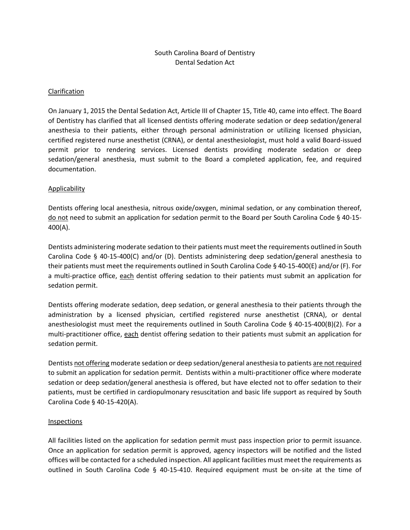# South Carolina Board of Dentistry Dental Sedation Act

#### Clarification

On January 1, 2015 the Dental Sedation Act, Article III of Chapter 15, Title 40, came into effect. The Board of Dentistry has clarified that all licensed dentists offering moderate sedation or deep sedation/general anesthesia to their patients, either through personal administration or utilizing licensed physician, certified registered nurse anesthetist (CRNA), or dental anesthesiologist, must hold a valid Board-issued permit prior to rendering services. Licensed dentists providing moderate sedation or deep sedation/general anesthesia, must submit to the Board a completed application, fee, and required documentation.

## Applicability

Dentists offering local anesthesia, nitrous oxide/oxygen, minimal sedation, or any combination thereof, do not need to submit an application for sedation permit to the Board per South Carolina Code § 40-15- 400(A).

Dentists administering moderate sedation to their patients must meet the requirements outlined in South Carolina Code § 40-15-400(C) and/or (D). Dentists administering deep sedation/general anesthesia to their patients must meet the requirements outlined in South Carolina Code § 40-15-400(E) and/or (F). For a multi-practice office, each dentist offering sedation to their patients must submit an application for sedation permit.

Dentists offering moderate sedation, deep sedation, or general anesthesia to their patients through the administration by a licensed physician, certified registered nurse anesthetist (CRNA), or dental anesthesiologist must meet the requirements outlined in South Carolina Code § 40-15-400(B)(2). For a multi-practitioner office, each dentist offering sedation to their patients must submit an application for sedation permit.

Dentists not offering moderate sedation or deep sedation/general anesthesia to patients are not required to submit an application for sedation permit. Dentists within a multi-practitioner office where moderate sedation or deep sedation/general anesthesia is offered, but have elected not to offer sedation to their patients, must be certified in cardiopulmonary resuscitation and basic life support as required by South Carolina Code § 40-15-420(A).

#### **Inspections**

All facilities listed on the application for sedation permit must pass inspection prior to permit issuance. Once an application for sedation permit is approved, agency inspectors will be notified and the listed offices will be contacted for a scheduled inspection. All applicant facilities must meet the requirements as outlined in South Carolina Code § 40-15-410. Required equipment must be on-site at the time of